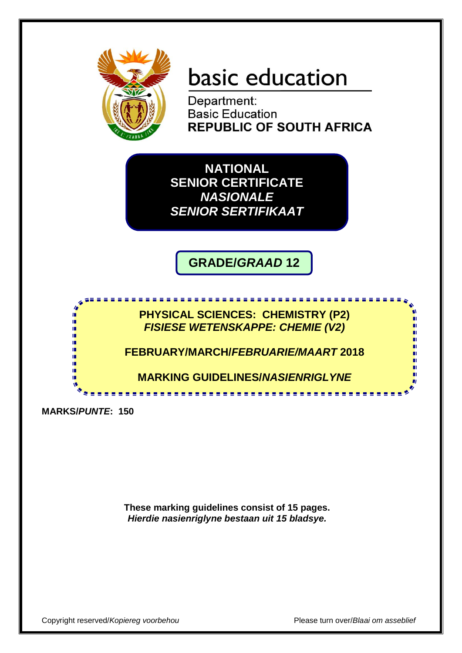

# basic education

Department: **Basic Education REPUBLIC OF SOUTH AFRICA** 

**NATIONAL SENIOR CERTIFICATE** *NASIONALE SENIOR SERTIFIKAAT*

**GRADE/***GRAAD* **12**

**PHYSICAL SCIENCES: CHEMISTRY (P2)** *FISIESE WETENSKAPPE: CHEMIE (V2)*

**FEBRUARY/MARCH/***FEBRUARIE/MAART* **2018**

**MARKING GUIDELINES/***NASIENRIGLYNE* -------------

**MARKS/***PUNTE***: 150**

**These marking guidelines consist of 15 pages.** *Hierdie nasienriglyne bestaan uit 15 bladsye.*

Copyright reserved/*Kopiereg voorbehou* Please turn over/*Blaai om asseblief*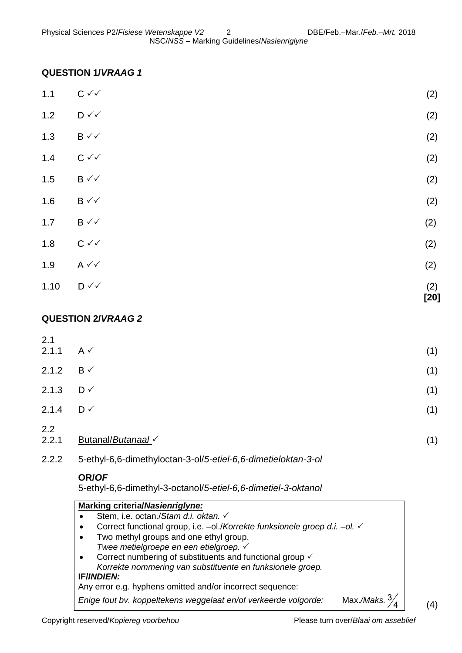## **QUESTION 1/***VRAAG 1*

| 1.10  | $\mathsf{D} \mathsf{v} \mathsf{v}$ | (2)<br>$[20]$ |
|-------|------------------------------------|---------------|
| 1.9   | $A \vee C$                         | (2)           |
| 1.8   | $C \vee C$                         | (2)           |
| $1.7$ | $\mathsf{B}\mathbin{\checkmark}$   | (2)           |
| 1.6   | $\mathsf{B}\mathbin{\checkmark}$   | (2)           |
| 1.5   | $B \vee\checkmark$                 | (2)           |
| $1.4$ | $C \curvearrowleft$                | (2)           |
| $1.3$ | $B \vee\checkmark$                 | (2)           |
| $1.2$ | $\mathsf{D} \curvearrowleft$       | (2)           |
| $1.1$ | $C \vee C$                         | (2)           |

## **QUESTION 2/***VRAAG 2*

| 2.1                  |                  |     |
|----------------------|------------------|-----|
| 2.1.1                | $A \vee$         | (1) |
| 2.1.2 $B \checkmark$ |                  | (1) |
| 2.1.3                | $D \vee$         | (1) |
| 2.1.4                | $D \vee$         | (1) |
| 2.2<br>2.2.1         | Butanal/Butanaal | (1) |

2.2.2 5-ethyl-6,6-dimethyloctan-3-ol/*5-etiel-6,6-dimetieloktan-3-ol*

#### **OR/***OF*

5-ethyl-6,6-dimethyl-3-octanol/*5-etiel-6,6-dimetiel-3-oktanol*

| <b>Marking criteria/Nasienriglyne:</b>                                                      |  |  |  |  |
|---------------------------------------------------------------------------------------------|--|--|--|--|
| Stem, i.e. octan./Stam d.i. oktan. √                                                        |  |  |  |  |
| Correct functional group, i.e. –ol./Korrekte funksionele groep d.i. –ol. ✓                  |  |  |  |  |
| Two methyl groups and one ethyl group.<br>$\bullet$                                         |  |  |  |  |
| Twee metielgroepe en een etielgroep. √                                                      |  |  |  |  |
| Correct numbering of substituents and functional group $\checkmark$                         |  |  |  |  |
| Korrekte nommering van substituente en funksionele groep.                                   |  |  |  |  |
| <b>IF/INDIEN:</b>                                                                           |  |  |  |  |
| Any error e.g. hyphens omitted and/or incorrect sequence:                                   |  |  |  |  |
| Max./Maks. $\frac{3}{2}$<br>Enige fout bv. koppeltekens weggelaat en/of verkeerde volgorde: |  |  |  |  |

(4)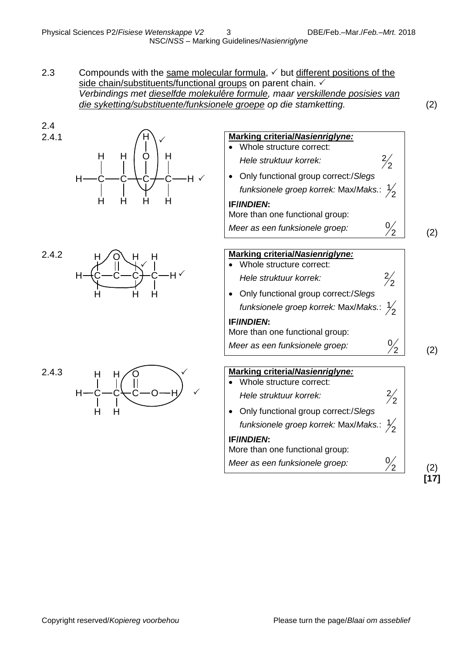2.3 Compounds with the same molecular formula,  $\checkmark$  but different positions of the side chain/substituents/functional groups on parent chain.  $\checkmark$ *Verbindings met dieselfde molekulêre formule, maar verskillende posisies van die syketting/substituente/funksionele groepe op die stamketting.* (2)

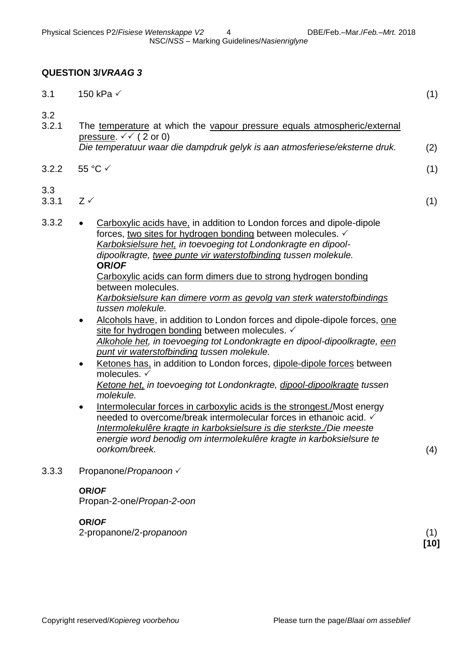#### **QUESTION 3/***VRAAG 3*

| 3.1          | 150 kPa √                                                                                                                                                                                                                                                                                                                                                                                                                                                                                                                                                                                                                                                                                                                                                                                                                                                                                                                                                                                                                                                                                                                                                                                                                                                                           | (1) |
|--------------|-------------------------------------------------------------------------------------------------------------------------------------------------------------------------------------------------------------------------------------------------------------------------------------------------------------------------------------------------------------------------------------------------------------------------------------------------------------------------------------------------------------------------------------------------------------------------------------------------------------------------------------------------------------------------------------------------------------------------------------------------------------------------------------------------------------------------------------------------------------------------------------------------------------------------------------------------------------------------------------------------------------------------------------------------------------------------------------------------------------------------------------------------------------------------------------------------------------------------------------------------------------------------------------|-----|
| 3.2<br>3.2.1 | The temperature at which the vapour pressure equals atmospheric/external<br>pressure. $\checkmark\checkmark$ (2 or 0)<br>Die temperatuur waar die dampdruk gelyk is aan atmosferiese/eksterne druk.                                                                                                                                                                                                                                                                                                                                                                                                                                                                                                                                                                                                                                                                                                                                                                                                                                                                                                                                                                                                                                                                                 | (2) |
| 3.2.2        | 55 °C √                                                                                                                                                                                                                                                                                                                                                                                                                                                                                                                                                                                                                                                                                                                                                                                                                                                                                                                                                                                                                                                                                                                                                                                                                                                                             | (1) |
| 3.3<br>3.3.1 | $Z \checkmark$                                                                                                                                                                                                                                                                                                                                                                                                                                                                                                                                                                                                                                                                                                                                                                                                                                                                                                                                                                                                                                                                                                                                                                                                                                                                      | (1) |
| 3.3.2        | Carboxylic acids have, in addition to London forces and dipole-dipole<br>$\bullet$<br>forces, two sites for hydrogen bonding between molecules. ✓<br>Karboksielsure het, in toevoeging tot Londonkragte en dipool-<br>dipoolkragte, twee punte vir waterstofbinding tussen molekule.<br>OR/OF<br>Carboxylic acids can form dimers due to strong hydrogen bonding<br>between molecules.<br>Karboksielsure kan dimere vorm as gevolg van sterk waterstofbindings<br>tussen molekule.<br>Alcohols have, in addition to London forces and dipole-dipole forces, one<br>$\bullet$<br>site for hydrogen bonding between molecules.<br>Alkohole het, in toevoeging tot Londonkragte en dipool-dipoolkragte, een<br>punt vir waterstofbinding tussen molekule.<br>Ketones has, in addition to London forces, dipole-dipole forces between<br>$\bullet$<br>molecules. √<br>Ketone het, in toevoeging tot Londonkragte, dipool-dipoolkragte tussen<br>molekule.<br>Intermolecular forces in carboxylic acids is the strongest./Most energy<br>$\bullet$<br>needed to overcome/break intermolecular forces in ethanoic acid. ✓<br>Intermolekulêre kragte in karboksielsure is die sterkste./Die meeste<br>energie word benodig om intermolekulêre kragte in karboksielsure te<br>oorkom/breek. | (4) |
| 3.3.3        | Propanone/Propanoon V                                                                                                                                                                                                                                                                                                                                                                                                                                                                                                                                                                                                                                                                                                                                                                                                                                                                                                                                                                                                                                                                                                                                                                                                                                                               |     |
|              | OR/OF<br>Propan-2-one/Propan-2-oon                                                                                                                                                                                                                                                                                                                                                                                                                                                                                                                                                                                                                                                                                                                                                                                                                                                                                                                                                                                                                                                                                                                                                                                                                                                  |     |

**OR/***OF*

2-propanone/2-p*ropanoon* (1)

**[10]**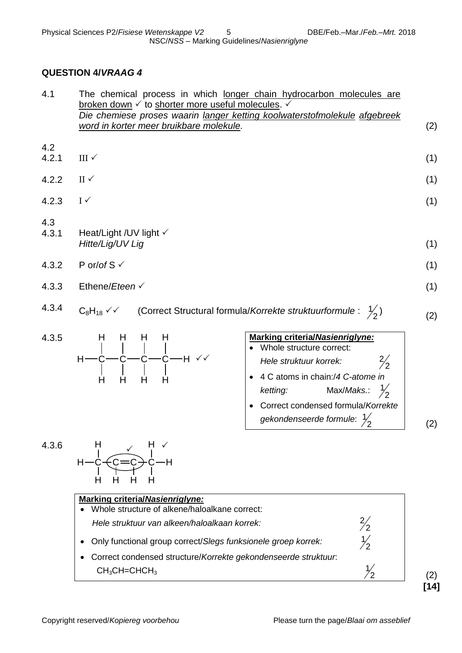## **QUESTION 4/***VRAAG 4*

| 4.1          | The chemical process in which longer chain hydrocarbon molecules are<br>broken down ✓ to shorter more useful molecules. ✓<br>Die chemiese proses waarin langer ketting koolwaterstofmolekule afgebreek<br>word in korter meer bruikbare molekule.                                                | (2)                  |
|--------------|--------------------------------------------------------------------------------------------------------------------------------------------------------------------------------------------------------------------------------------------------------------------------------------------------|----------------------|
| 4.2<br>4.2.1 | III $\checkmark$                                                                                                                                                                                                                                                                                 | (1)                  |
| 4.2.2        | $II \checkmark$                                                                                                                                                                                                                                                                                  | (1)                  |
| 4.2.3        | $I \checkmark$                                                                                                                                                                                                                                                                                   | (1)                  |
| 4.3<br>4.3.1 | Heat/Light / UV light $\checkmark$<br>Hitte/Lig/UV Lig                                                                                                                                                                                                                                           | (1)                  |
| 4.3.2        | P or/of $S \vee$                                                                                                                                                                                                                                                                                 | (1)                  |
| 4.3.3        | Ethene/Eteen $\checkmark$                                                                                                                                                                                                                                                                        | (1)                  |
| 4.3.4        | (Correct Structural formula/Korrekte struktuurformule: $\frac{1}{2}$ )<br>$C_8H_{18}$ $\checkmark$                                                                                                                                                                                               | (2)                  |
| 4.3.5        | <b>Marking criteria/Nasienriglyne:</b><br>H.<br>H<br>н<br>н<br>Whole structure correct:<br>Hele struktuur korrek:<br>4 C atoms in chain:/4 C-atome in<br>Н<br>H<br>H<br>H<br>Max/Maks.: $\frac{1}{2}$<br>ketting:<br>Correct condensed formula/Korrekte<br>gekondenseerde formule: $\frac{1}{2}$ | $\frac{2}{2}$<br>(2) |
| 4.3.6        | <b>Marking criteria/Nasienriglyne:</b><br>Whole structure of alkene/haloalkane correct:<br>$\frac{2}{2}$<br>Hele struktuur van alkeen/haloalkaan korrek:                                                                                                                                         |                      |

 Only functional group correct/*Slegs funksionele groep korrek:* Correct condensed structure/*Korrekte gekondenseerde struktuur*:

 $CH<sub>3</sub>CH=CHCH<sub>3</sub>$ 

(2) **[14]**

2 1

> 2 1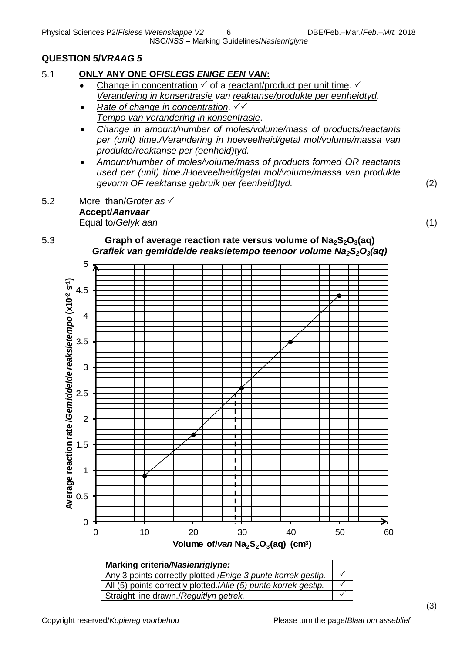NSC/*NSS* – Marking Guidelines/*Nasienriglyne*

# **QUESTION 5/***VRAAG 5*

## 5.1 **ONLY ANY ONE OF/***SLEGS ENIGE EEN VAN***:**

- Change in concentration  $\checkmark$  of a reactant/product per unit time.  $\checkmark$ *Verandering in konsentrasie van reaktanse/produkte per eenheidtyd.*
- *Rate of change in concentration. Tempo van verandering in konsentrasie.*
- *Change in amount/number of moles/volume/mass of products/reactants per (unit) time./Verandering in hoeveelheid/getal mol/volume/massa van produkte/reaktanse per (eenheid)tyd.*
- *Amount/number of moles/volume/mass of products formed OR reactants used per (unit) time./Hoeveelheid/getal mol/volume/massa van produkte gevorm OF reaktanse gebruik per (eenheid)tyd.* (2)
- 5.2 More than/*Groter as* **Accept/***Aanvaar* Equal to/*Gelyk aan* (1)

(3)

## 5.3 **Graph of average reaction rate versus volume of Na2S2O3(aq)** *Grafiek van gemiddelde reaksietempo teenoor volume Na2S2O3(aq)*



Straight line drawn./*Reguitlyn getrek.*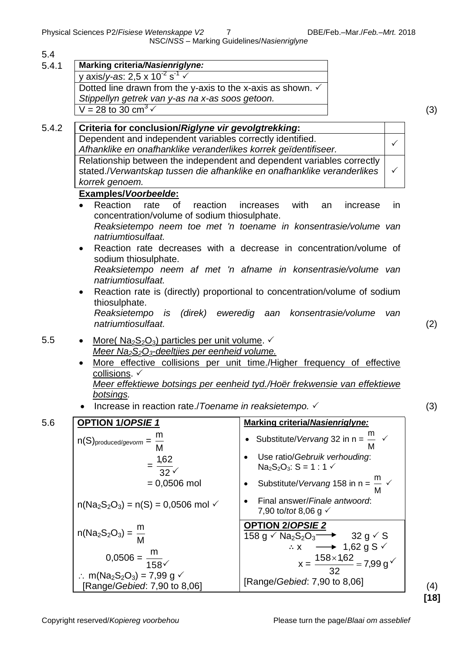Physical Sciences P2/*Fisiese Wetenskappe V2* 7 DBE/Feb.–Mar./*Feb.–Mrt.* 2018

NSC/*NSS* – Marking Guidelines/*Nasienriglyne*

| Marking criteria/Nasienriglyne:                                                                                                                             |                                                                                                                                   |
|-------------------------------------------------------------------------------------------------------------------------------------------------------------|-----------------------------------------------------------------------------------------------------------------------------------|
| y axis/y-as: 2,5 x 10 <sup>-2</sup> s <sup>-1</sup> $\checkmark$                                                                                            |                                                                                                                                   |
| Dotted line drawn from the y-axis to the x-axis as shown. $\checkmark$                                                                                      |                                                                                                                                   |
| Stippellyn getrek van y-as na x-as soos getoon.                                                                                                             |                                                                                                                                   |
| V = 28 to 30 cm <sup>3</sup> $\sqrt{ }$                                                                                                                     |                                                                                                                                   |
| Criteria for conclusion/Riglyne vir gevolgtrekking:                                                                                                         |                                                                                                                                   |
| Dependent and independent variables correctly identified.                                                                                                   | $\checkmark$                                                                                                                      |
| Afhanklike en onafhanklike veranderlikes korrek geïdentifiseer.                                                                                             |                                                                                                                                   |
|                                                                                                                                                             | Relationship between the independent and dependent variables correctly                                                            |
| stated./Verwantskap tussen die afhanklike en onafhanklike veranderlikes                                                                                     | $\checkmark$                                                                                                                      |
| korrek genoem.                                                                                                                                              |                                                                                                                                   |
| <b>Examples/Voorbeelde:</b><br>Reaction<br>rate<br><b>of</b><br>reaction                                                                                    | with<br>increases<br>an<br>in.                                                                                                    |
| concentration/volume of sodium thiosulphate.                                                                                                                | increase                                                                                                                          |
|                                                                                                                                                             | Reaksietempo neem toe met 'n toename in konsentrasie/volume van                                                                   |
| natriumtiosulfaat.                                                                                                                                          |                                                                                                                                   |
| $\bullet$                                                                                                                                                   | Reaction rate decreases with a decrease in concentration/volume of                                                                |
| sodium thiosulphate.                                                                                                                                        |                                                                                                                                   |
|                                                                                                                                                             | Reaksietempo neem af met 'n afname in konsentrasie/volume van                                                                     |
| natriumtiosulfaat.                                                                                                                                          |                                                                                                                                   |
| $\bullet$                                                                                                                                                   | Reaction rate is (directly) proportional to concentration/volume of sodium                                                        |
| thiosulphate.<br>Reaksietempo is (direk)                                                                                                                    | eweredig aan konsentrasie/volume<br>van                                                                                           |
| natriumtiosulfaat.                                                                                                                                          |                                                                                                                                   |
|                                                                                                                                                             |                                                                                                                                   |
| More( $Na2S2O3$ ) particles per unit volume. $\checkmark$<br>$\bullet$<br>Meer Na <sub>2</sub> S <sub>2</sub> O <sub>3</sub> -deeltjies per eenheid volume. |                                                                                                                                   |
| $\bullet$                                                                                                                                                   | More effective collisions per unit time./Higher frequency of effective                                                            |
| collisions. ✓                                                                                                                                               |                                                                                                                                   |
|                                                                                                                                                             | Meer effektiewe botsings per eenheid tyd./Hoër frekwensie van effektiewe                                                          |
| botsings.                                                                                                                                                   |                                                                                                                                   |
| Increase in reaction rate./Toename in reaksietempo. ✓                                                                                                       |                                                                                                                                   |
| <b>OPTION 1/OPSIE 1</b>                                                                                                                                     | <b>Marking criteria/Nasienriglyne:</b>                                                                                            |
|                                                                                                                                                             | Substitute/ <i>Vervang</i> 32 in n = $\frac{m}{n}$ $\checkmark$                                                                   |
| $n(S)$ <sub>produced/gevorm</sub> = $\frac{111}{M}$                                                                                                         |                                                                                                                                   |
|                                                                                                                                                             | Use ratio/Gebruik verhouding:                                                                                                     |
| $=\frac{1,62}{32}$                                                                                                                                          | $Na2S2O3: S = 1 : 1 \checkmark$                                                                                                   |
| $= 0.0506$ mol                                                                                                                                              | Substitute/ <i>Vervang</i> 158 in n = $\frac{m}{M}$ $\checkmark$                                                                  |
|                                                                                                                                                             |                                                                                                                                   |
| $n(Na_2S_2O_3) = n(S) = 0,0506$ mol $\checkmark$                                                                                                            | Final answer/Finale antwoord:<br>7,90 to/tot 8,06 g $\checkmark$                                                                  |
|                                                                                                                                                             |                                                                                                                                   |
| $n(Na_2S_2O_3) = \frac{m}{M}$                                                                                                                               | <b>OPTION 2/OPSIE 2</b><br>158 g $\checkmark$ Na <sub>2</sub> S <sub>2</sub> O <sub>3</sub> $\longrightarrow$ 32 g $\checkmark$ S |
|                                                                                                                                                             | $\therefore x \longrightarrow 1,62 \text{ g S}$                                                                                   |
| $0,0506 = \frac{m}{158}$                                                                                                                                    |                                                                                                                                   |
|                                                                                                                                                             | $x = \frac{158 \times 1,62}{32} = 7,99 \text{ g}^{\checkmark}$                                                                    |
|                                                                                                                                                             |                                                                                                                                   |
| ∴ m(Na <sub>2</sub> S <sub>2</sub> O <sub>3</sub> ) = 7,99 g $\checkmark$<br>[Range/Gebied: 7,90 to 8,06]                                                   | [Range/ <i>Gebied:</i> 7,90 to 8,06]                                                                                              |

(4) **[18]**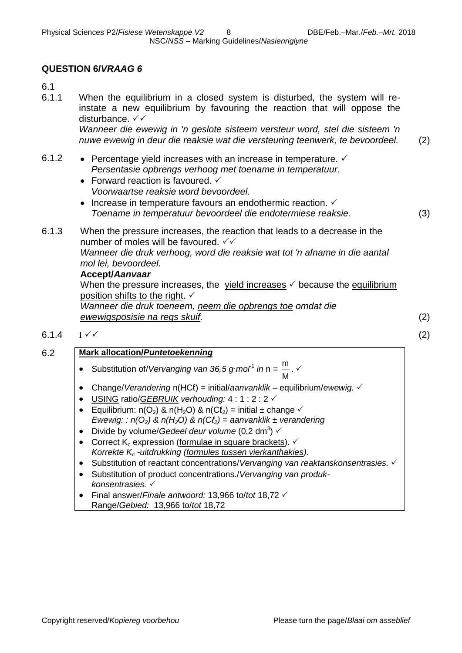## **QUESTION 6/***VRAAG 6*

6.1

6.1.1 When the equilibrium in a closed system is disturbed, the system will reinstate a new equilibrium by favouring the reaction that will oppose the disturbance. √ ✓ *Wanneer die ewewig in 'n geslote sisteem versteur word, stel die sisteem 'n* 

*nuwe ewewig in deur die reaksie wat die versteuring teenwerk, te bevoordeel.* (2)

- 6.1.2 Percentage yield increases with an increase in temperature.  $\checkmark$ *Persentasie opbrengs verhoog met toename in temperatuur.*
	- Forward reaction is favoured.  $\checkmark$ *Voorwaartse reaksie word bevoordeel.*
	- Increase in temperature favours an endothermic reaction.  $\checkmark$ *Toename in temperatuur bevoordeel die endotermiese reaksie.* (3)

6.1.3 When the pressure increases, the reaction that leads to a decrease in the number of moles will be favoured.  $\checkmark\checkmark$ *Wanneer die druk verhoog, word die reaksie wat tot 'n afname in die aantal mol lei, bevoordeel.* 

#### **Accept/***Aanvaar*

When the pressure increases, the yield increases  $\checkmark$  because the equilibrium position shifts to the right.  $\checkmark$ 

*Wanneer die druk toeneem, neem die opbrengs toe omdat die ewewigsposisie na regs skuif.* (2)

6.1.4 I  $\checkmark$  (2)

#### 6.2 **Mark allocation/***Puntetoekenning*

- Substitution of/*Vervanging van 36,5 g∙mol<sup>1</sup> in* n = M  $\frac{m}{\cdots}$ .  $\checkmark$
- Change/*Verandering* n(HCℓ) = initial/*aanvanklik* equilibrium/*ewewig.*
- USING ratio/*GEBRUIK verhouding:* 4 : 1 : 2 : 2
- Equilibrium: n(O<sub>2</sub>) & n(H<sub>2</sub>O) & n(Cl<sub>2</sub>) = initial ± change  $\checkmark$ *Ewewig: : n(O2) & n(H2O) & n(Cℓ2) = aanvanklik ± verandering*
- Divide by volume/*Gedeel deur volume* (0,2 dm<sup>3</sup>)  $\checkmark$
- Correct K<sub>c</sub> expression (formulae in square brackets).  $\checkmark$ *Korrekte K<sup>c</sup> -uitdrukking (formules tussen vierkanthakies).*
- Substitution of reactant concentrations/*Vervanging van reaktanskonsentrasies. √*
- Substitution of product concentrations./*Vervanging van produkkonsentrasies.*
- Final answer/*Finale antwoord:* 13,966 to/*tot* 18,72 Range/*Gebied:* 13,966 to/*tot* 18,72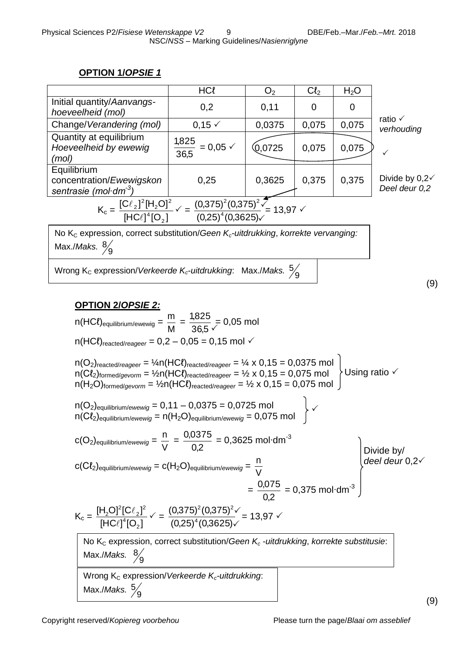## **OPTION 1/***OPSIE 1*

|                                                                                                                                                                                                                                                                   | <b>HCl</b>                               | O <sub>2</sub> | Cl <sub>2</sub> | H <sub>2</sub> O |                                          |  |  |
|-------------------------------------------------------------------------------------------------------------------------------------------------------------------------------------------------------------------------------------------------------------------|------------------------------------------|----------------|-----------------|------------------|------------------------------------------|--|--|
| Initial quantity/Aanvangs-<br>hoeveelheid (mol)                                                                                                                                                                                                                   | 0,2                                      | 0,11           | $\overline{0}$  | $\Omega$         |                                          |  |  |
| Change/Verandering (mol)                                                                                                                                                                                                                                          | $0,15 \checkmark$                        | 0,0375         | 0,075           | 0,075            | ratio $\checkmark$<br>verhouding         |  |  |
| Quantity at equilibrium<br>Hoeveelheid by ewewig<br>(mol)                                                                                                                                                                                                         | $\frac{1,825}{36,5}$ = 0,05 $\checkmark$ | (0,0725)       | 0,075           | 0,075            |                                          |  |  |
| Equilibrium<br>concentration/Ewewigskon<br>sentrasie (mol·dm $3)$                                                                                                                                                                                                 | 0,25                                     | 0,3625         | 0,375           | 0,375            | Divide by $0,2\sqrt{ }$<br>Deel deur 0,2 |  |  |
| $K_c = \frac{[C\ell_2]^2 [H_2 O]^2}{[HC\ell]^4 [O_2]} \sqrt{\frac{(0,375)^2 (0,375)^2 \sqrt{\frac{2}{\ell_2}}}{(0.25)^4 (0.3625)}}$ = 13,97                                                                                                                       |                                          |                |                 |                  |                                          |  |  |
| No $K_c$ expression, correct substitution/Geen $K_c$ -uitdrukking, korrekte vervanging:<br>Max./Maks. $\frac{8}{9}$                                                                                                                                               |                                          |                |                 |                  |                                          |  |  |
| Wrong K <sub>c</sub> expression/Verkeerde K <sub>c</sub> -uitdrukking: Max./Maks. $\frac{5}{9}$                                                                                                                                                                   |                                          |                |                 |                  | (9)                                      |  |  |
| <u>OPTION 2/OPSIE 2:</u><br>$n(HCl)$ <sub>equilibrium/ewewig</sub> = $\frac{m}{M}$ = $\frac{1,825}{36.5}$ = 0,05 mol<br>$n(HC\ell)_{reacted/reager} = 0.2 - 0.05 = 0.15$ mol $\checkmark$                                                                         |                                          |                |                 |                  |                                          |  |  |
| $n(O_2)$ <sub>reacted/reageer</sub> = $\frac{1}{4}n(HCl)$ <sub>reacted/reageer</sub> = $\frac{1}{4} \times 0,15 = 0,0375$ mol<br>$n(C\ell_2)_{\text{formed/gevorm}} = \frac{1}{2}n(HC\ell)_{\text{reacted/reager}} = \frac{1}{2} \times 0.15 = 0.075 \text{ mol}$ |                                          |                |                 |                  |                                          |  |  |

 $n(C_{2})$ formed/*gevorm* = ½ $n(HCl)$ reacted/*reageer* = ½ x 0,15 = 0,075 mol  $n(H_2O)$ formed/gevorm = 1/2 $n(HCl)$ reacted/reageer = 1/2 x 0,15 = 0,075 mol  $\int$ 

$$
n(O2)equilibrium/ewewig = 0,11 - 0,0375 = 0,0725 moln(C2)equilibrium/ewewig = n(H2O)equilibrium/ewewig = 0,075 mol
$$

$$
c(O_2)_{\text{equilibrium/ewewig}} = \frac{n}{V} = \frac{0.0375}{0.2} = 0.3625 \text{ mol} \cdot \text{dm}^{-3}
$$

$$
c(C\ell_2)_{\text{equilibrium/ewewig}} = c(H_2O)_{\text{equilibrium/ewewig}} = \frac{n}{V}
$$

Divide by/ *deel deur* 0,2

$$
= \frac{0.075}{0.2} = 0.375 \text{ mol} \cdot \text{dm}^{-3}
$$

$$
K_{c} = \frac{[H_{2}O]^{2}[C\ell_{2}]^{2}}{[HC\ell]^{4}[O_{2}]} \checkmark = \frac{(0,375)^{2}(0,375)^{2}\checkmark}{(0,25)^{4}(0,3625)\checkmark} = 13,97 \checkmark
$$

No K<sub>c</sub> expression, correct substitution/*Geen K<sub>c</sub> -uitdrukking*, *korrekte substitusie*: Max./*Maks.*  9 8

V

Wrong K<sub>c</sub> expression/*Verkeerde K<sub>c</sub>*-uitdrukking: Max./*Maks.* 9 5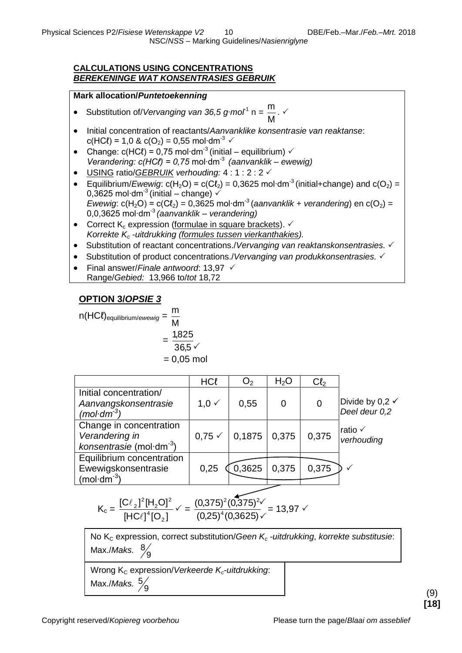NSC/*NSS* – Marking Guidelines/*Nasienriglyne*

#### **CALCULATIONS USING CONCENTRATIONS** *BEREKENINGE WAT KONSENTRASIES GEBRUIK*

#### **Mark allocation/***Puntetoekenning*

- Substitution of/*Vervanging van 36,5 g∙mol*-1 n *=*  M m<br> $\frac{m}{\sqrt{2}}$ .  $\checkmark$
- Initial concentration of reactants/*Aanvanklike konsentrasie van reaktanse*: c(HCℓ) = 1,0 & c(O<sub>2</sub>) = 0,55 mol⋅dm<sup>-3</sup>  $\checkmark$
- Change:  $c(HC\ell) = 0.75$  mol⋅dm<sup>-3</sup> (initial equilibrium)  $\checkmark$ *Verandering: c(HCℓ) = 0,75* mol∙dm-3 *(aanvanklik – ewewig)*
- USING ratio/*GEBRUIK verhouding:* 4 : 1 : 2 : 2
- $\bullet$  Equilibrium/*Ewewig*: c(H<sub>2</sub>O) = c(Cl<sub>2</sub>) = 0,3625 mol⋅dm<sup>-3</sup> (initial+change) and c(O<sub>2</sub>) = 0,3625 mol⋅dm<sup>-3</sup> (initial – change)  $\checkmark$ *Ewewig*:  $c(H_2O) = c(Cl_2) = 0,3625 \text{ mol} \cdot \text{dm}^3$  (*aanvanklik* + *verandering*) en  $c(O_2)$  = 0,0,3625 mol∙dm-3 *(aanvanklik – verandering)*
- Correct  $K_c$  expression (formulae in square brackets).  $\checkmark$ *Korrekte K<sup>c</sup> -uitdrukking (formules tussen vierkanthakies).*
- Substitution of reactant concentrations./*Vervanging van reaktanskonsentrasies.*
- Substitution of product concentrations./*Vervanging van produkkonsentrasies. √*
- Final answer/*Finale antwoord*: 13,97 Range/*Gebied:* 13,966 to/*tot* 18,72

## **OPTION 3/***OPSIE 3*

$$
n(HCl)_{\text{equilibrium/ewewig}} = \frac{m}{M}
$$
  
= 
$$
\frac{1,825}{36,5} \checkmark
$$
  
= 0,05 mol

|                                                                             | <b>HCl</b>        | O <sub>2</sub> | H <sub>2</sub> O | Cl <sub>2</sub> |                                             |
|-----------------------------------------------------------------------------|-------------------|----------------|------------------|-----------------|---------------------------------------------|
| Initial concentration/<br>Aanvangskonsentrasie<br>(mol $\cdot$ dm $^{-3}$ ) | $1,0 \checkmark$  | 0,55           | 0                | 0               | Divide by 0,2 $\checkmark$<br>Deel deur 0,2 |
| Change in concentration<br>Verandering in<br>konsentrasie (mol·dm $^{-3}$ ) | $0,75 \checkmark$ | 0,1875         | 0,375            | 0,375           | ratio √<br>verhouding                       |
| Equilibrium concentration<br>Ewewigskonsentrasie<br>$(mol·dm-3)$            | 0,25              | 0,3625         | 0,375            | 0,375           |                                             |

$$
K_c = \frac{[C\ell_2]^2 [H_2 O]^2}{[H C \ell]^4 [O_2]} \checkmark = \frac{(0,375)^2 (0,375)^2 \checkmark}{(0,25)^4 (0,3625) \checkmark} = 13,97 \checkmark
$$

No K<sub>c</sub> expression, correct substitution/*Geen K<sub>c</sub> -uitdrukking*, *korrekte substitusie*: Max./*Maks.*  9 8

Wrong K<sub>c</sub> expression/*Verkeerde K<sub>c</sub>-uitdrukking*:

Max./*Maks.* 9 5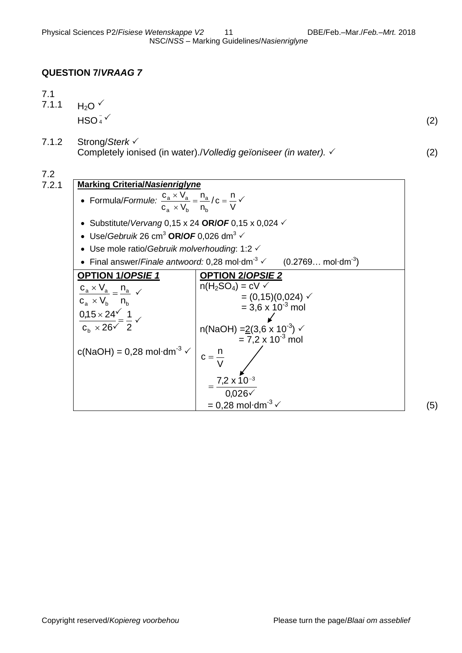## **QUESTION 7/***VRAAG 7*

| <b>Marking Criteria/Nasienriglyne</b>                                              |     |
|------------------------------------------------------------------------------------|-----|
| Strong/Sterk √<br>Completely ionised (in water)./Volledig geïoniseer (in water). ✓ | (2) |
| $H_2O \vee$<br>$HSO4-$                                                             | (2) |
|                                                                                    |     |

 Formula/*Formule:* b a a ^ <code>vb</code> <u>a ^ <code>v</code>a</u> n n  $c_a \times V$  $\frac{c_a \times V_a}{V}$  =  $\times$  $\frac{v}{v} \times V_{a} = \frac{n_{a}}{v}$ V  $c = \frac{n}{v}$  Substitute/*Vervang* 0,15 x 24 **OR/***OF* 0,15 x 0,024  $\bullet$  Use/*Gebruik* 26 cm<sup>3</sup> OR/*OF* 0,026 dm<sup>3</sup>  $\checkmark$  Use mole ratio/*Gebruik molverhouding*: 1:2 • Final answer/*Finale antwoord:* 0,28 mol∙dm<sup>-3</sup>  $\checkmark$  $(0.2769...$  mol·dm<sup>-3</sup>) **OPTION 1/***OPSIE 1* b a a ^ <code>v</code>b a ^ ∨a n n  $\mathsf{c}_{\scriptscriptstyle{\mathsf{a}}} \times \mathsf{V}_{\scriptscriptstyle{\mathsf{p}}}$  $\frac{c_a \times V_a}{V}$  =  $\times$  $\frac{d \times V_a}{dt} = \frac{n_a}{t}$   $\checkmark$ 2 1  $\rm c_{\rm b} \times 26$  $0,15 \times 24$ b  $\equiv$  $\times$  $\times$ c(NaOH) =  $0,28$  mol⋅dm<sup>-3</sup>  $\checkmark$ **OPTION 2/***OPSIE 2*  $n(H_2SO_4) = cV$   $\checkmark$  $= (0,15)(0,024)$   $\checkmark$  $= 3.6 \times 10^{-3}$  mol n(NaOH) =2(3,6 x 10 -3 )  $= 7.2 \times 10^{-3}$  mol  $0,026\sqrt{}$  $7,2 \times 10^{-3}$ V  $c = \frac{n}{n}$  $=$  $= 0,28 \text{ mol} \cdot \text{dm}^{-3} \checkmark$  (5)  $\checkmark$  $\checkmark$  $\checkmark$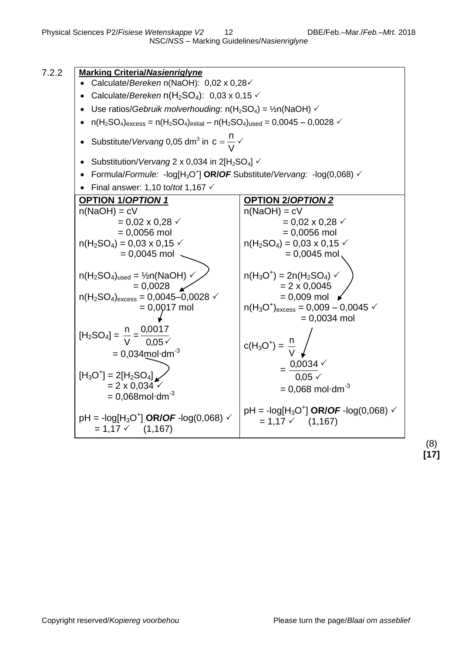

(8) **[17]**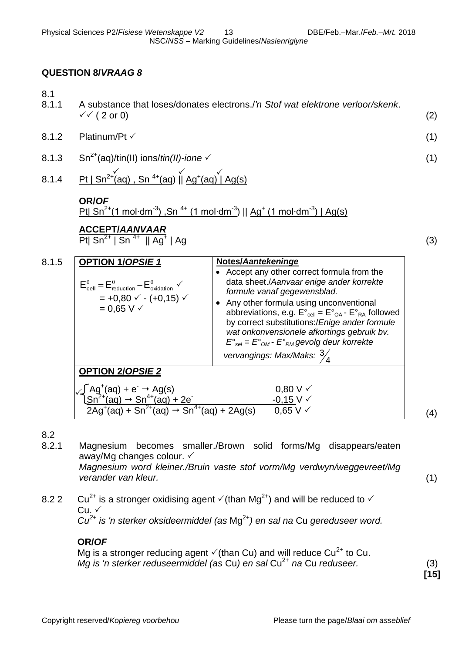## **QUESTION 8/***VRAAG 8*

- 8.1
- 8.1.1 A substance that loses/donates electrons./*'n Stof wat elektrone verloor/skenk*.  $\checkmark$  (2 or 0) (2)
- $8.1.2$  Platinum/Pt  $\checkmark$  (1)
- 8.1.3  $\text{Sn}^{2+}(\text{aq})/\text{tin(II)}$  ions/*tin(II)-ione*  $\checkmark$  (1)
- 8.1.4 Pt  $| \text{Sn}^{2+}(\text{aq})$  , Sn<sup>4+</sup>(aq)  $| \text{Ag}^{+}(\text{aq}) |$  Ag(s)  $\checkmark$

#### **OR/***OF*

<u>Pt| Sn<sup>2+</sup>(1 mol·dm<sup>-3</sup>) ,Sn <sup>4+</sup> (1 mol·dm<sup>-3</sup>) || Ag<sup>+</sup> (1 mol·dm<sup>-3</sup>) | Ag(s)</u>

# **ACCEPT/***AANVAAR*

Pt| Sn<sup>2+</sup> | Sn <sup>4+</sup>  $\parallel$  Ag<sup>+</sup>  $\vert$  Ag  $\vert$  (3)

| 8.1.5 | <b>OPTION 1/OPSIE 1</b><br>$E_{cell}^{\theta} = E_{reduction}^{\theta} - E_{oxidation}^{\theta}$<br>$= +0.80 \times - (+0.15) \times$<br>$= 0.65 V \checkmark$ | Notes/Aantekeninge<br>• Accept any other correct formula from the<br>data sheet./Aanvaar enige ander korrekte<br>formule vanaf gegewensblad.<br>• Any other formula using unconventional<br>abbreviations, e.g. $E^{\circ}{}_{cell} = E^{\circ}{}_{OA} - E^{\circ}{}_{RA}$ followed<br>by correct substitutions:/Enige ander formule<br>wat onkonvensionele afkortings gebruik bv.<br>$E^{\circ}_{\text{sel}} = E^{\circ}_{\text{OM}}$ - $E^{\circ}_{\text{RM}}$ gevolg deur korrekte<br>vervangings: Max/Maks: $\frac{3}{4}$ |     |  |
|-------|----------------------------------------------------------------------------------------------------------------------------------------------------------------|-------------------------------------------------------------------------------------------------------------------------------------------------------------------------------------------------------------------------------------------------------------------------------------------------------------------------------------------------------------------------------------------------------------------------------------------------------------------------------------------------------------------------------|-----|--|
|       | <b>OPTION 2/OPSIE 2</b>                                                                                                                                        |                                                                                                                                                                                                                                                                                                                                                                                                                                                                                                                               |     |  |
|       | ЃAg <sup>+</sup> (aq) + e <sup>-</sup> → Ag(s)<br><u>lSn<sup>2+</sup>(aq) → Sn<sup>4+</sup>(aq) + 2e -</u>                                                     | $0,80 \vee \vee$                                                                                                                                                                                                                                                                                                                                                                                                                                                                                                              |     |  |
|       | $2Aq^{+}(aq) + Sn^{2+}(aq) \rightarrow Sn^{4+}(aq) + 2Ag(s)$                                                                                                   | $-0,15$ V $\checkmark$<br>$0.65 V \checkmark$                                                                                                                                                                                                                                                                                                                                                                                                                                                                                 | (4) |  |

8.2

- 8.2.1 Magnesium becomes smaller./Brown solid forms/Mg disappears/eaten away/Mg changes colour.  $\checkmark$ *Magnesium word kleiner./Bruin vaste stof vorm/Mg verdwyn/weggevreet/Mg verander van kleur.* (1)
- 8.2 2 Cu<sup>2+</sup> is a stronger oxidising agent  $\check{\sqrt{}}$  (than Mg<sup>2+</sup>) and will be reduced to  $\check{\sqrt{}}$  $Cu. \vee$ *Cu2+ is 'n sterker oksideermiddel (as* Mg2+*) en sal na* Cu *gereduseer word.*

## **OR/***OF*

Mg is a stronger reducing agent  $\check{\phantom{1}}$  (than Cu) and will reduce Cu<sup>2+</sup> to Cu. *Mg is 'n sterker reduseermiddel (as Cu) en sal Cu<sup>2+</sup> na Cu reduseer.* (3)

**[15]**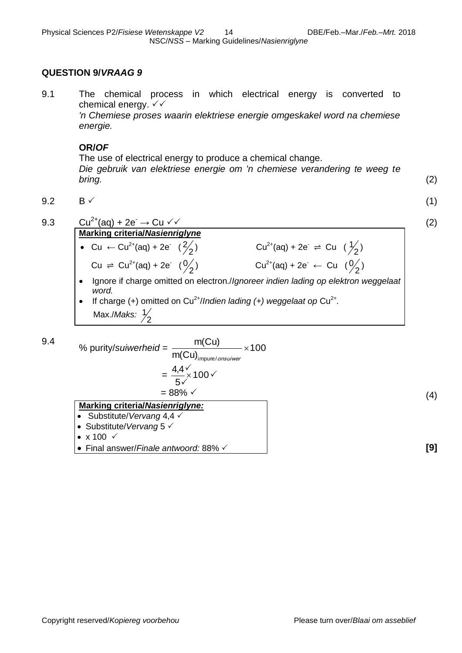#### **QUESTION 9/***VRAAG 9*

9.1 The chemical process in which electrical energy is converted to chemical energy.  $\checkmark\checkmark$ 

*'n Chemiese proses waarin elektriese energie omgeskakel word na chemiese energie.*

#### **OR/***OF*

The use of electrical energy to produce a chemical change. *Die gebruik van elektriese energie om 'n chemiese verandering te weeg te bring.* (2)

$$
9.2 \qquad \qquad \text{B} \checkmark \tag{1}
$$



9.3 Cu<sup>2+</sup>(aq) + 2e<sup>-</sup> → Cu  $\checkmark$  (2) **Marking criteria/***Nasienriglyne* • Cu  $\leftarrow$  Cu<sup>2+</sup>(aq) + 2e<sup>-</sup> ( $\frac{2}{2}$ 2 ) Cu<sup>2+</sup>(aq) + 2e<sup>-</sup>  $\Rightarrow$  Cu ( $\frac{1}{2}$  $\frac{1}{2}$ Cu  $\Rightarrow$  Cu<sup>2+</sup>(aq) + 2e<sup>-</sup> ( $\frac{0}{2}$ ) 0 ) Cu<sup>2+</sup>(aq) + 2e<sup>-</sup> ← Cu ( $\frac{0}{2}$  $\frac{0}{2}$  Ignore if charge omitted on electron./*Ignoreer indien lading op elektron weggelaat word.* • If charge  $(+)$  omitted on Cu<sup>2+</sup>/Indien lading  $(+)$  weggelaat op Cu<sup>2+</sup>. 1

9.4 % purity/suiwerheid = 
$$
\frac{m(Cu)}{m(Cu)_{\text{impure/onsuiver}}} \times 100
$$
  
= 
$$
\frac{4.4 \times 100}{5 \times} \times 100
$$
  
= 88%   

$$
\frac{\text{Markup criteria/Nasienriglyne:}}{\text{a. Substitute/Vorsong A A A}} \times (4)
$$

 Substitute/*Vervang* 4,4 ● Substitute/*Vervang* 5  $\checkmark$ 

Max./*Maks:* 2

- $\bullet$  x 100  $\checkmark$
- Final answer/*Finale antwoord:* 88% **[9]**